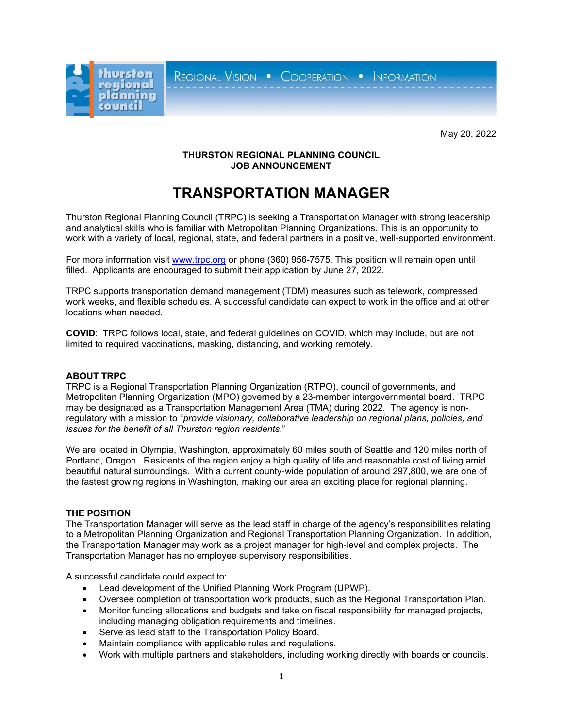REGIONAL VISION . COOPERATION . INFORMATION



May 20, 2022

# **THURSTON REGIONAL PLANNING COUNCIL JOB ANNOUNCEMENT**

# **TRANSPORTATION MANAGER**

Thurston Regional Planning Council (TRPC) is seeking a Transportation Manager with strong leadership and analytical skills who is familiar with Metropolitan Planning Organizations. This is an opportunity to work with a variety of local, regional, state, and federal partners in a positive, well-supported environment.

For more information visit [www.trpc.org](http://www.trpc.org/) or phone (360) 956-7575. This position will remain open until filled. Applicants are encouraged to submit their application by June 27, 2022.

TRPC supports transportation demand management (TDM) measures such as telework, compressed work weeks, and flexible schedules. A successful candidate can expect to work in the office and at other locations when needed.

**COVID**: TRPC follows local, state, and federal guidelines on COVID, which may include, but are not limited to required vaccinations, masking, distancing, and working remotely.

#### **ABOUT TRPC**

TRPC is a Regional Transportation Planning Organization (RTPO), council of governments, and Metropolitan Planning Organization (MPO) governed by a 23-member intergovernmental board. TRPC may be designated as a Transportation Management Area (TMA) during 2022. The agency is nonregulatory with a mission to "*provide visionary, collaborative leadership on regional plans, policies, and issues for the benefit of all Thurston region residents*."

We are located in Olympia, Washington, approximately 60 miles south of Seattle and 120 miles north of Portland, Oregon. Residents of the region enjoy a high quality of life and reasonable cost of living amid beautiful natural surroundings. With a current county-wide population of around 297,800, we are one of the fastest growing regions in Washington, making our area an exciting place for regional planning.

# **THE POSITION**

The Transportation Manager will serve as the lead staff in charge of the agency's responsibilities relating to a Metropolitan Planning Organization and Regional Transportation Planning Organization. In addition, the Transportation Manager may work as a project manager for high-level and complex projects. The Transportation Manager has no employee supervisory responsibilities.

A successful candidate could expect to:

- Lead development of the Unified Planning Work Program (UPWP).
- Oversee completion of transportation work products, such as the Regional Transportation Plan.
- Monitor funding allocations and budgets and take on fiscal responsibility for managed projects, including managing obligation requirements and timelines.
- Serve as lead staff to the Transportation Policy Board.
- Maintain compliance with applicable rules and regulations.
- Work with multiple partners and stakeholders, including working directly with boards or councils.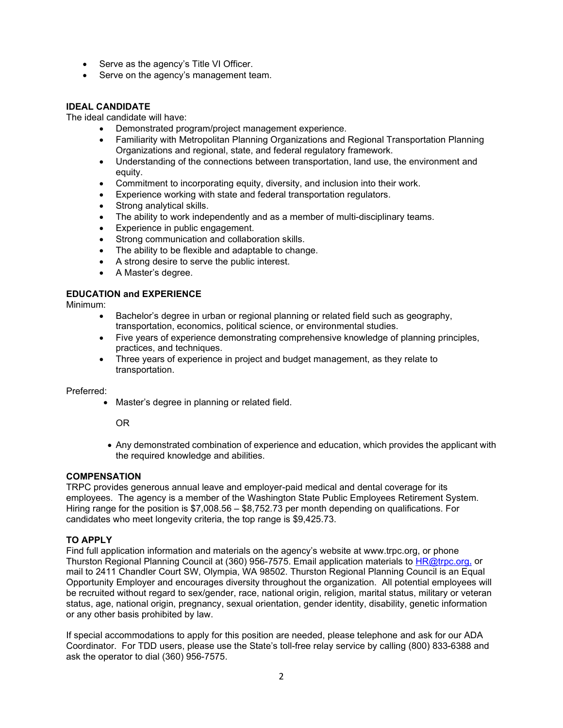- Serve as the agency's Title VI Officer.
- Serve on the agency's management team.

### **IDEAL CANDIDATE**

The ideal candidate will have:

- Demonstrated program/project management experience.
- Familiarity with Metropolitan Planning Organizations and Regional Transportation Planning Organizations and regional, state, and federal regulatory framework.
- Understanding of the connections between transportation, land use, the environment and equity.
- Commitment to incorporating equity, diversity, and inclusion into their work.
- Experience working with state and federal transportation regulators.
- Strong analytical skills.
- The ability to work independently and as a member of multi-disciplinary teams.
- Experience in public engagement.
- Strong communication and collaboration skills.
- The ability to be flexible and adaptable to change.
- A strong desire to serve the public interest.
- A Master's degree.

### **EDUCATION and EXPERIENCE**

Minimum:

- Bachelor's degree in urban or regional planning or related field such as geography, transportation, economics, political science, or environmental studies.
- Five years of experience demonstrating comprehensive knowledge of planning principles, practices, and techniques.
- Three years of experience in project and budget management, as they relate to transportation.

Preferred:

• Master's degree in planning or related field.

OR

• Any demonstrated combination of experience and education, which provides the applicant with the required knowledge and abilities.

## **COMPENSATION**

TRPC provides generous annual leave and employer-paid medical and dental coverage for its employees. The agency is a member of the Washington State Public Employees Retirement System. Hiring range for the position is \$7,008.56 – \$8,752.73 per month depending on qualifications. For candidates who meet longevity criteria, the top range is \$9,425.73.

#### **TO APPLY**

Find full application information and materials on the agency's website at www.trpc.org, or phone Thurston Regional Planning Council at (360) 956-7575. Email application materials to **HR@trpc.org**, or mail to 2411 Chandler Court SW, Olympia, WA 98502. Thurston Regional Planning Council is an Equal Opportunity Employer and encourages diversity throughout the organization. All potential employees will be recruited without regard to sex/gender, race, national origin, religion, marital status, military or veteran status, age, national origin, pregnancy, sexual orientation, gender identity, disability, genetic information or any other basis prohibited by law.

If special accommodations to apply for this position are needed, please telephone and ask for our ADA Coordinator. For TDD users, please use the State's toll-free relay service by calling (800) 833-6388 and ask the operator to dial (360) 956-7575.